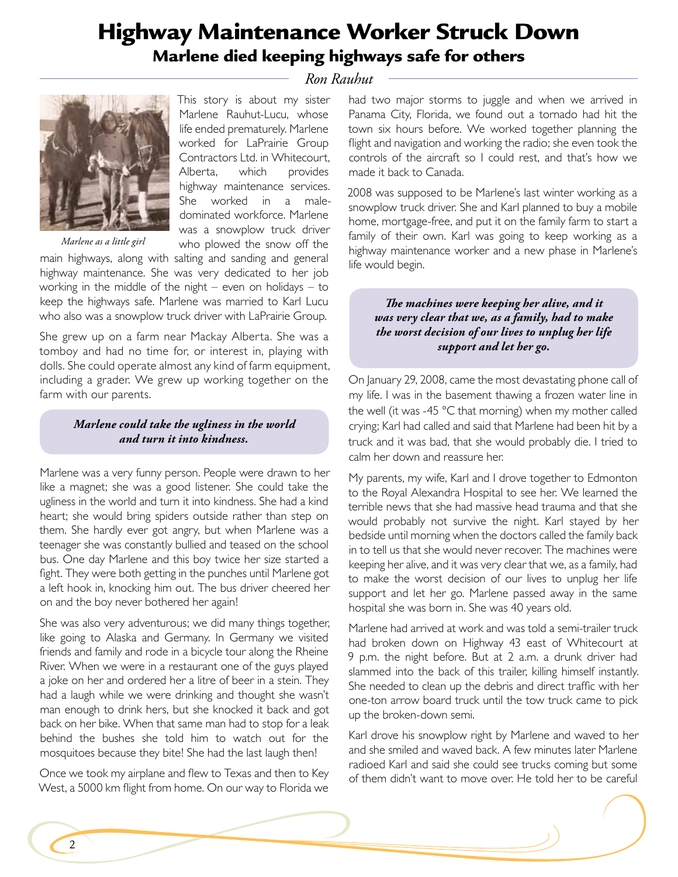# Highway Maintenance Worker Struck Down Marlene died keeping highways safe for others

## *Ron Rauhut*



*Marlene as a little girl*

This story is about my sister Marlene Rauhut-Lucu, whose life ended prematurely. Marlene worked for LaPrairie Group Contractors Ltd. in Whitecourt, Alberta, which provides highway maintenance services. She worked in a maledominated workforce. Marlene was a snowplow truck driver who plowed the snow off the

main highways, along with salting and sanding and general highway maintenance. She was very dedicated to her job working in the middle of the night – even on holidays – to keep the highways safe. Marlene was married to Karl Lucu who also was a snowplow truck driver with LaPrairie Group.

She grew up on a farm near Mackay Alberta. She was a tomboy and had no time for, or interest in, playing with dolls. She could operate almost any kind of farm equipment, including a grader. We grew up working together on the farm with our parents.

### *Marlene could take the ugliness in the world and turn it into kindness.*

Marlene was a very funny person. People were drawn to her like a magnet; she was a good listener. She could take the ugliness in the world and turn it into kindness. She had a kind heart; she would bring spiders outside rather than step on them. She hardly ever got angry, but when Marlene was a teenager she was constantly bullied and teased on the school bus. One day Marlene and this boy twice her size started a fight. They were both getting in the punches until Marlene got a left hook in, knocking him out. The bus driver cheered her on and the boy never bothered her again!

She was also very adventurous; we did many things together, like going to Alaska and Germany. In Germany we visited friends and family and rode in a bicycle tour along the Rheine River. When we were in a restaurant one of the guys played a joke on her and ordered her a litre of beer in a stein. They had a laugh while we were drinking and thought she wasn't man enough to drink hers, but she knocked it back and got back on her bike. When that same man had to stop for a leak behind the bushes she told him to watch out for the mosquitoes because they bite! She had the last laugh then!

Once we took my airplane and flew to Texas and then to Key West, a 5000 km flight from home. On our way to Florida we

had two major storms to juggle and when we arrived in Panama City, Florida, we found out a tornado had hit the town six hours before. We worked together planning the flight and navigation and working the radio; she even took the controls of the aircraft so I could rest, and that's how we made it back to Canada.

2008 was supposed to be Marlene's last winter working as a snowplow truck driver. She and Karl planned to buy a mobile home, mortgage-free, and put it on the family farm to start a family of their own. Karl was going to keep working as a highway maintenance worker and a new phase in Marlene's life would begin.

#### *The machines were keeping her alive, and it was very clear that we, as a family, had to make the worst decision of our lives to unplug her life support and let her go.*

On January 29, 2008, came the most devastating phone call of my life. I was in the basement thawing a frozen water line in the well (it was -45 °C that morning) when my mother called crying; Karl had called and said that Marlene had been hit by a truck and it was bad, that she would probably die. I tried to calm her down and reassure her.

My parents, my wife, Karl and I drove together to Edmonton to the Royal Alexandra Hospital to see her. We learned the terrible news that she had massive head trauma and that she would probably not survive the night. Karl stayed by her bedside until morning when the doctors called the family back in to tell us that she would never recover. The machines were keeping her alive, and it was very clear that we, as a family, had to make the worst decision of our lives to unplug her life support and let her go. Marlene passed away in the same hospital she was born in. She was 40 years old.

Marlene had arrived at work and was told a semi-trailer truck had broken down on Highway 43 east of Whitecourt at 9 p.m. the night before. But at 2 a.m. a drunk driver had slammed into the back of this trailer, killing himself instantly. She needed to clean up the debris and direct traffic with her one-ton arrow board truck until the tow truck came to pick up the broken-down semi.

Karl drove his snowplow right by Marlene and waved to her and she smiled and waved back. A few minutes later Marlene radioed Karl and said she could see trucks coming but some of them didn't want to move over. He told her to be careful

2